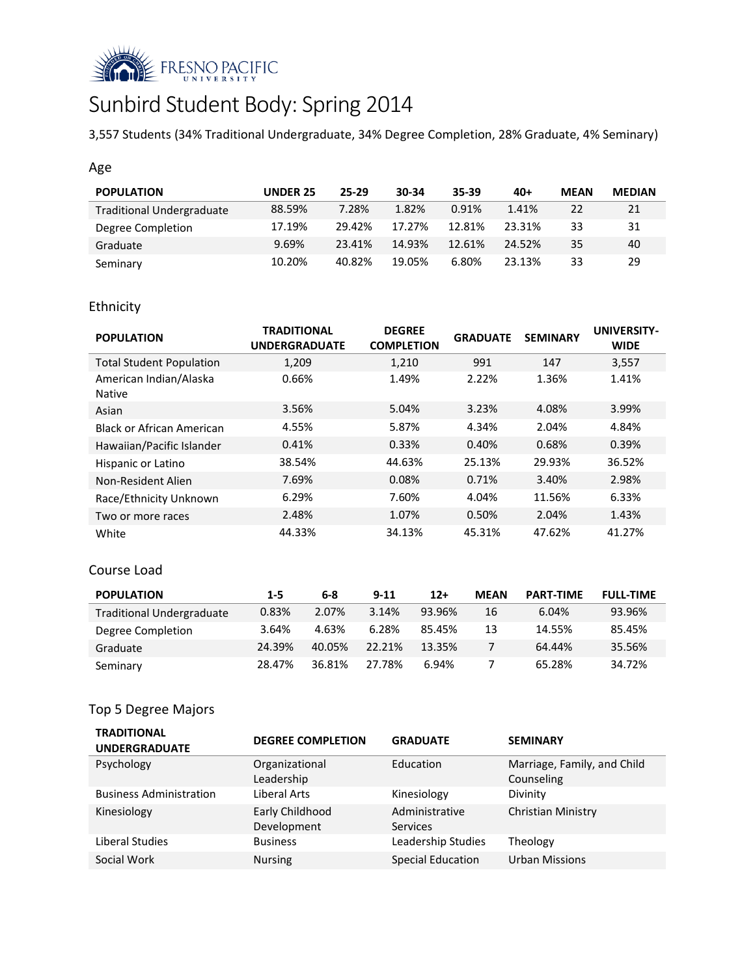

# Sunbird Student Body: Spring 2014

3,557 Students (34% Traditional Undergraduate, 34% Degree Completion, 28% Graduate, 4% Seminary)

## Age

| <b>POPULATION</b>                | <b>UNDER 25</b> | 25-29  | 30-34  | 35-39  | $40+$  | <b>MEAN</b> | <b>MEDIAN</b> |
|----------------------------------|-----------------|--------|--------|--------|--------|-------------|---------------|
| <b>Traditional Undergraduate</b> | 88.59%          | 7.28%  | 1.82%  | 0.91%  | 1.41%  | 22          | 21            |
| Degree Completion                | 17.19%          | 29.42% | 17.27% | 12.81% | 23.31% | 33          | 31            |
| Graduate                         | 9.69%           | 23.41% | 14.93% | 12.61% | 24.52% | 35          | 40            |
| Seminary                         | 10.20%          | 40.82% | 19.05% | 6.80%  | 23.13% | 33          | 29            |

# Ethnicity

| <b>POPULATION</b>                       | <b>TRADITIONAL</b><br><b>UNDERGRADUATE</b> | <b>DEGREE</b><br><b>COMPLETION</b> | <b>GRADUATE</b> | <b>SEMINARY</b> | <b>UNIVERSITY-</b><br><b>WIDE</b> |
|-----------------------------------------|--------------------------------------------|------------------------------------|-----------------|-----------------|-----------------------------------|
| <b>Total Student Population</b>         | 1,209                                      | 1,210                              | 991             | 147             | 3,557                             |
| American Indian/Alaska<br><b>Native</b> | 0.66%                                      | 1.49%                              | 2.22%           | 1.36%           | 1.41%                             |
| Asian                                   | 3.56%                                      | 5.04%                              | 3.23%           | 4.08%           | 3.99%                             |
| Black or African American               | 4.55%                                      | 5.87%                              | 4.34%           | 2.04%           | 4.84%                             |
| Hawaiian/Pacific Islander               | 0.41%                                      | 0.33%                              | 0.40%           | 0.68%           | 0.39%                             |
| Hispanic or Latino                      | 38.54%                                     | 44.63%                             | 25.13%          | 29.93%          | 36.52%                            |
| Non-Resident Alien                      | 7.69%                                      | 0.08%                              | 0.71%           | 3.40%           | 2.98%                             |
| Race/Ethnicity Unknown                  | 6.29%                                      | 7.60%                              | 4.04%           | 11.56%          | 6.33%                             |
| Two or more races                       | 2.48%                                      | 1.07%                              | 0.50%           | 2.04%           | 1.43%                             |
| White                                   | 44.33%                                     | 34.13%                             | 45.31%          | 47.62%          | 41.27%                            |

#### Course Load

| <b>POPULATION</b>                | $1 - 5$ | 6-8    | $9 - 11$ | $12+$  | <b>MEAN</b> | <b>PART-TIME</b> | <b>FULL-TIME</b> |
|----------------------------------|---------|--------|----------|--------|-------------|------------------|------------------|
| <b>Traditional Undergraduate</b> | 0.83%   | 2.07%  | 3.14%    | 93.96% | 16          | 6.04%            | 93.96%           |
| Degree Completion                | 3.64%   | 4.63%  | 6.28%    | 85.45% | 13          | 14.55%           | 85.45%           |
| Graduate                         | 24.39%  | 40.05% | 22.21%   | 13.35% |             | 64.44%           | 35.56%           |
| Seminary                         | 28.47%  | 36.81% | 27.78%   | 6.94%  |             | 65.28%           | 34.72%           |

# Top 5 Degree Majors

| <b>TRADITIONAL</b><br><b>UNDERGRADUATE</b> | <b>DEGREE COMPLETION</b>       | <b>GRADUATE</b>                   | <b>SEMINARY</b>                           |
|--------------------------------------------|--------------------------------|-----------------------------------|-------------------------------------------|
| Psychology                                 | Organizational<br>Leadership   | Education                         | Marriage, Family, and Child<br>Counseling |
| <b>Business Administration</b>             | Liberal Arts                   | Kinesiology                       | Divinity                                  |
| Kinesiology                                | Early Childhood<br>Development | Administrative<br><b>Services</b> | Christian Ministry                        |
| Liberal Studies                            | <b>Business</b>                | Leadership Studies                | Theology                                  |
| Social Work                                | Nursing                        | Special Education                 | <b>Urban Missions</b>                     |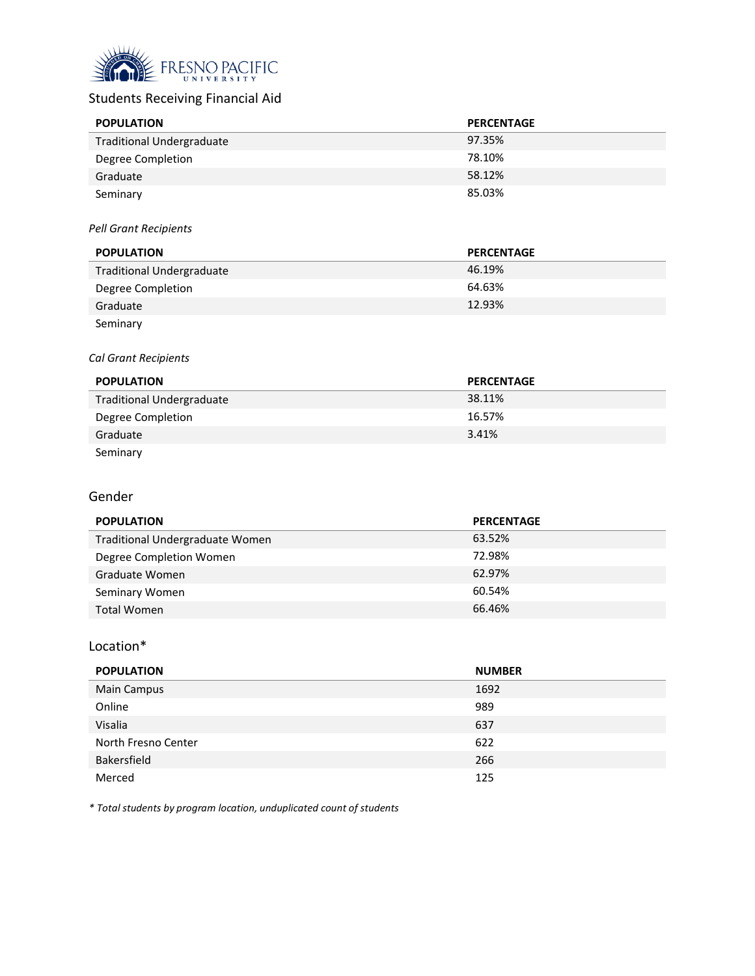

# Students Receiving Financial Aid

| <b>POPULATION</b>                | <b>PERCENTAGE</b> |
|----------------------------------|-------------------|
| <b>Traditional Undergraduate</b> | 97.35%            |
| Degree Completion                | 78.10%            |
| Graduate                         | 58.12%            |
| Seminary                         | 85.03%            |

#### *Pell Grant Recipients*

| <b>POPULATION</b>                | <b>PERCENTAGE</b> |
|----------------------------------|-------------------|
| <b>Traditional Undergraduate</b> | 46.19%            |
| Degree Completion                | 64.63%            |
| Graduate                         | 12.93%            |
| Seminary                         |                   |

#### *Cal Grant Recipients*

| <b>POPULATION</b>                | <b>PERCENTAGE</b> |
|----------------------------------|-------------------|
| <b>Traditional Undergraduate</b> | 38.11%            |
| Degree Completion                | 16.57%            |
| Graduate                         | 3.41%             |
| Seminary                         |                   |

#### Gender

| <b>POPULATION</b>               | <b>PERCENTAGE</b> |
|---------------------------------|-------------------|
| Traditional Undergraduate Women | 63.52%            |
| Degree Completion Women         | 72.98%            |
| Graduate Women                  | 62.97%            |
| Seminary Women                  | 60.54%            |
| Total Women                     | 66.46%            |

#### Location\*

| <b>POPULATION</b>   | <b>NUMBER</b> |
|---------------------|---------------|
| Main Campus         | 1692          |
| Online              | 989           |
| Visalia             | 637           |
| North Fresno Center | 622           |
| Bakersfield         | 266           |
| Merced              | 125           |

*\* Total students by program location, unduplicated count of students*